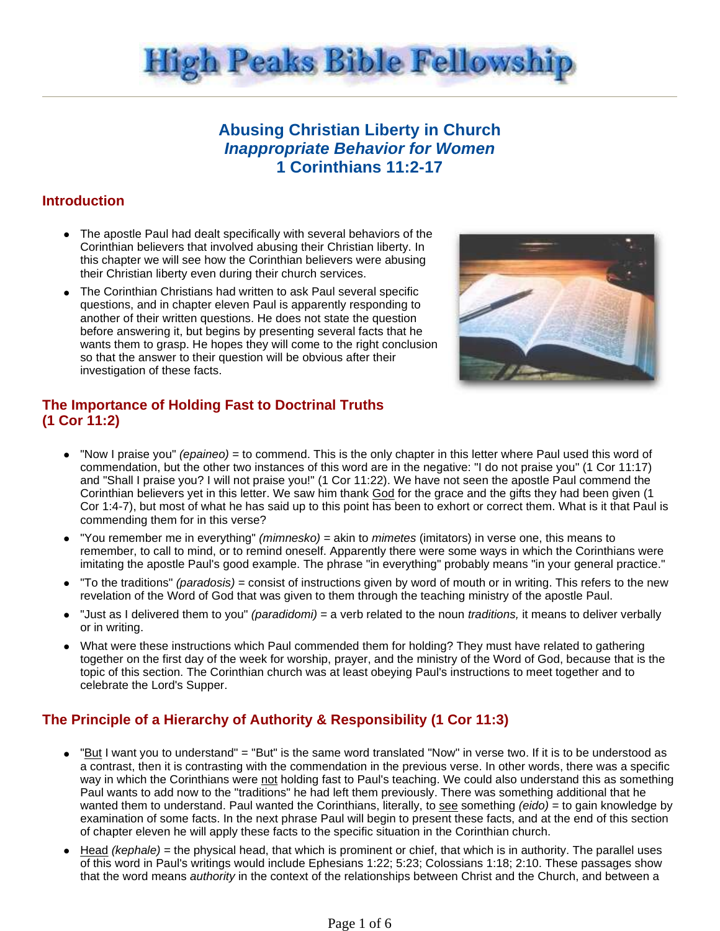

# **Abusing Christian Liberty in Church Inappropriate Behavior for Women 1 Corinthians 11:2-17**

## **Introduction**

- The apostle Paul had dealt specifically with several behaviors of the Corinthian believers that involved abusing their Christian liberty. In this chapter we will see how the Corinthian believers were abusing their Christian liberty even during their church services.
- The Corinthian Christians had written to ask Paul several specific questions, and in chapter eleven Paul is apparently responding to another of their written questions. He does not state the question before answering it, but begins by presenting several facts that he wants them to grasp. He hopes they will come to the right conclusion so that the answer to their question will be obvious after their investigation of these facts.



## **The Importance of Holding Fast to Doctrinal Truths (1 Cor 11:2)**

- $\bullet$  "Now I praise you" *(epaineo)* = to commend. This is the only chapter in this letter where Paul used this word of commendation, but the other two instances of this word are in the negative: "I do not praise you" (1 Cor 11:17) and "Shall I praise you? I will not praise you!" (1 Cor 11:22). We have not seen the apostle Paul commend the Corinthian believers yet in this letter. We saw him thank God for the grace and the gifts they had been given (1 Cor 1:4-7), but most of what he has said up to this point has been to exhort or correct them. What is it that Paul is commending them for in this verse?
- "You remember me in everything" *(mimnesko)* = akin to *mimetes* (imitators) in verse one, this means to remember, to call to mind, or to remind oneself. Apparently there were some ways in which the Corinthians were imitating the apostle Paul's good example. The phrase "in everything" probably means "in your general practice."
- "To the traditions" (paradosis) = consist of instructions given by word of mouth or in writing. This refers to the new revelation of the Word of God that was given to them through the teaching ministry of the apostle Paul.
- "Just as I delivered them to you" (paradidomi) = a verb related to the noun traditions, it means to deliver verbally or in writing.
- What were these instructions which Paul commended them for holding? They must have related to gathering together on the first day of the week for worship, prayer, and the ministry of the Word of God, because that is the topic of this section. The Corinthian church was at least obeying Paul's instructions to meet together and to celebrate the Lord's Supper.

## **The Principle of a Hierarchy of Authority & Responsibility (1 Cor 11:3)**

- "But I want you to understand" = "But" is the same word translated "Now" in verse two. If it is to be understood as a contrast, then it is contrasting with the commendation in the previous verse. In other words, there was a specific way in which the Corinthians were not holding fast to Paul's teaching. We could also understand this as something Paul wants to add now to the "traditions" he had left them previously. There was something additional that he wanted them to understand. Paul wanted the Corinthians, literally, to see something  $(eido) =$  to gain knowledge by examination of some facts. In the next phrase Paul will begin to present these facts, and at the end of this section of chapter eleven he will apply these facts to the specific situation in the Corinthian church.
- Head *(kephale)* = the physical head, that which is prominent or chief, that which is in authority. The parallel uses of this word in Paul's writings would include Ephesians 1:22; 5:23; Colossians 1:18; 2:10. These passages show that the word means *authority* in the context of the relationships between Christ and the Church, and between a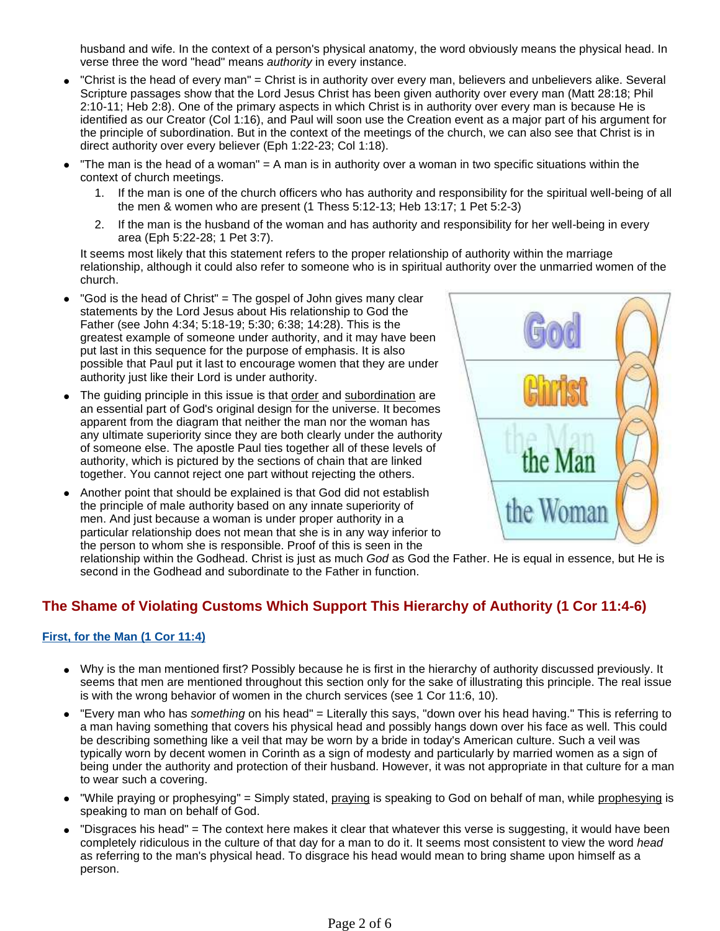husband and wife. In the context of a person's physical anatomy, the word obviously means the physical head. In verse three the word "head" means authority in every instance.

- "Christ is the head of every man" = Christ is in authority over every man, believers and unbelievers alike. Several Scripture passages show that the Lord Jesus Christ has been given authority over every man (Matt 28:18; Phil 2:10-11; Heb 2:8). One of the primary aspects in which Christ is in authority over every man is because He is identified as our Creator (Col 1:16), and Paul will soon use the Creation event as a major part of his argument for the principle of subordination. But in the context of the meetings of the church, we can also see that Christ is in direct authority over every believer (Eph 1:22-23; Col 1:18).
- "The man is the head of a woman" = A man is in authority over a woman in two specific situations within the context of church meetings.
	- 1. If the man is one of the church officers who has authority and responsibility for the spiritual well-being of all the men & women who are present (1 Thess 5:12-13; Heb 13:17; 1 Pet 5:2-3)
	- 2. If the man is the husband of the woman and has authority and responsibility for her well-being in every area (Eph 5:22-28; 1 Pet 3:7).

It seems most likely that this statement refers to the proper relationship of authority within the marriage relationship, although it could also refer to someone who is in spiritual authority over the unmarried women of the church.

- "God is the head of Christ" = The gospel of John gives many clear statements by the Lord Jesus about His relationship to God the Father (see John 4:34; 5:18-19; 5:30; 6:38; 14:28). This is the greatest example of someone under authority, and it may have been put last in this sequence for the purpose of emphasis. It is also possible that Paul put it last to encourage women that they are under authority just like their Lord is under authority.
- The guiding principle in this issue is that order and subordination are an essential part of God's original design for the universe. It becomes apparent from the diagram that neither the man nor the woman has any ultimate superiority since they are both clearly under the authority of someone else. The apostle Paul ties together all of these levels of authority, which is pictured by the sections of chain that are linked together. You cannot reject one part without rejecting the others.
- Another point that should be explained is that God did not establish the principle of male authority based on any innate superiority of men. And just because a woman is under proper authority in a particular relationship does not mean that she is in any way inferior to the person to whom she is responsible. Proof of this is seen in the



relationship within the Godhead. Christ is just as much God as God the Father. He is equal in essence, but He is second in the Godhead and subordinate to the Father in function.

# **The Shame of Violating Customs Which Support This Hierarchy of Authority (1 Cor 11:4-6)**

### **First, for the Man (1 Cor 11:4)**

- Why is the man mentioned first? Possibly because he is first in the hierarchy of authority discussed previously. It seems that men are mentioned throughout this section only for the sake of illustrating this principle. The real issue is with the wrong behavior of women in the church services (see 1 Cor 11:6, 10).
- "Every man who has something on his head" = Literally this says, "down over his head having." This is referring to a man having something that covers his physical head and possibly hangs down over his face as well. This could be describing something like a veil that may be worn by a bride in today's American culture. Such a veil was typically worn by decent women in Corinth as a sign of modesty and particularly by married women as a sign of being under the authority and protection of their husband. However, it was not appropriate in that culture for a man to wear such a covering.
- "While praying or prophesying" = Simply stated, praying is speaking to God on behalf of man, while prophesying is speaking to man on behalf of God.
- "Disgraces his head" = The context here makes it clear that whatever this verse is suggesting, it would have been completely ridiculous in the culture of that day for a man to do it. It seems most consistent to view the word head as referring to the man's physical head. To disgrace his head would mean to bring shame upon himself as a person.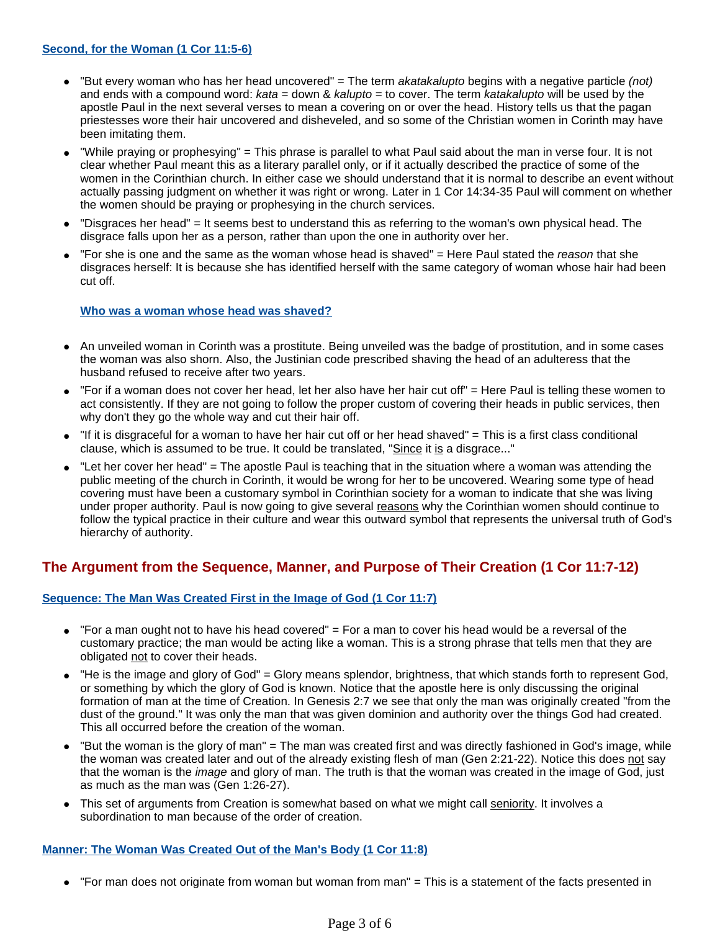- $\bullet$  "But every woman who has her head uncovered" = The term akatakalupto begins with a negative particle (not) and ends with a compound word:  $kata =$  down &  $kalupto =$  to cover. The term  $katakalupto$  will be used by the apostle Paul in the next several verses to mean a covering on or over the head. History tells us that the pagan priestesses wore their hair uncovered and disheveled, and so some of the Christian women in Corinth may have been imitating them.
- "While praying or prophesying" = This phrase is parallel to what Paul said about the man in verse four. It is not clear whether Paul meant this as a literary parallel only, or if it actually described the practice of some of the women in the Corinthian church. In either case we should understand that it is normal to describe an event without actually passing judgment on whether it was right or wrong. Later in 1 Cor 14:34-35 Paul will comment on whether the women should be praying or prophesying in the church services.
- "Disgraces her head" = It seems best to understand this as referring to the woman's own physical head. The disgrace falls upon her as a person, rather than upon the one in authority over her.
- "For she is one and the same as the woman whose head is shaved" = Here Paul stated the reason that she disgraces herself: It is because she has identified herself with the same category of woman whose hair had been cut off.

#### **Who was a woman whose head was shaved?**

- An unveiled woman in Corinth was a prostitute. Being unveiled was the badge of prostitution, and in some cases the woman was also shorn. Also, the Justinian code prescribed shaving the head of an adulteress that the husband refused to receive after two years.
- $\bullet$  "For if a woman does not cover her head, let her also have her hair cut off" = Here Paul is telling these women to act consistently. If they are not going to follow the proper custom of covering their heads in public services, then why don't they go the whole way and cut their hair off.
- "If it is disgraceful for a woman to have her hair cut off or her head shaved" = This is a first class conditional clause, which is assumed to be true. It could be translated, "Since it is a disgrace..."
- "Let her cover her head" = The apostle Paul is teaching that in the situation where a woman was attending the public meeting of the church in Corinth, it would be wrong for her to be uncovered. Wearing some type of head covering must have been a customary symbol in Corinthian society for a woman to indicate that she was living under proper authority. Paul is now going to give several reasons why the Corinthian women should continue to follow the typical practice in their culture and wear this outward symbol that represents the universal truth of God's hierarchy of authority.

### **The Argument from the Sequence, Manner, and Purpose of Their Creation (1 Cor 11:7-12)**

### **Sequence: The Man Was Created First in the Image of God (1 Cor 11:7)**

- $\bullet$  "For a man ought not to have his head covered" = For a man to cover his head would be a reversal of the customary practice; the man would be acting like a woman. This is a strong phrase that tells men that they are obligated not to cover their heads.
- "He is the image and glory of God" = Glory means splendor, brightness, that which stands forth to represent God, or something by which the glory of God is known. Notice that the apostle here is only discussing the original formation of man at the time of Creation. In Genesis 2:7 we see that only the man was originally created "from the dust of the ground." It was only the man that was given dominion and authority over the things God had created. This all occurred before the creation of the woman.
- "But the woman is the glory of man" = The man was created first and was directly fashioned in God's image, while the woman was created later and out of the already existing flesh of man (Gen 2:21-22). Notice this does not say that the woman is the image and glory of man. The truth is that the woman was created in the image of God, just as much as the man was (Gen 1:26-27).
- This set of arguments from Creation is somewhat based on what we might call seniority. It involves a subordination to man because of the order of creation.

#### **Manner: The Woman Was Created Out of the Man's Body (1 Cor 11:8)**

"For man does not originate from woman but woman from man" = This is a statement of the facts presented in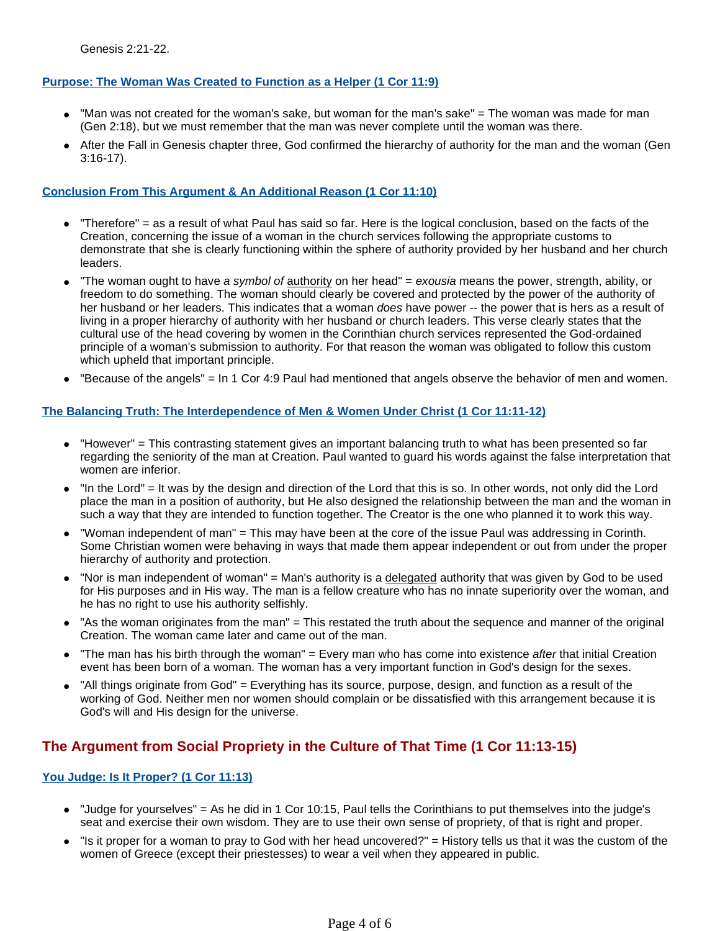### **Purpose: The Woman Was Created to Function as a Helper (1 Cor 11:9)**

- "Man was not created for the woman's sake, but woman for the man's sake" = The woman was made for man (Gen 2:18), but we must remember that the man was never complete until the woman was there.
- After the Fall in Genesis chapter three, God confirmed the hierarchy of authority for the man and the woman (Gen 3:16-17).

### **Conclusion From This Argument & An Additional Reason (1 Cor 11:10)**

- "Therefore" = as a result of what Paul has said so far. Here is the logical conclusion, based on the facts of the Creation, concerning the issue of a woman in the church services following the appropriate customs to demonstrate that she is clearly functioning within the sphere of authority provided by her husband and her church leaders.
- The woman ought to have a symbol of authority on her head" = exousia means the power, strength, ability, or freedom to do something. The woman should clearly be covered and protected by the power of the authority of her husband or her leaders. This indicates that a woman *does* have power -- the power that is hers as a result of living in a proper hierarchy of authority with her husband or church leaders. This verse clearly states that the cultural use of the head covering by women in the Corinthian church services represented the God-ordained principle of a woman's submission to authority. For that reason the woman was obligated to follow this custom which upheld that important principle.
- "Because of the angels" = In 1 Cor 4:9 Paul had mentioned that angels observe the behavior of men and women.

### **The Balancing Truth: The Interdependence of Men & Women Under Christ (1 Cor 11:11-12)**

- "However" = This contrasting statement gives an important balancing truth to what has been presented so far regarding the seniority of the man at Creation. Paul wanted to guard his words against the false interpretation that women are inferior.
- "In the Lord" = It was by the design and direction of the Lord that this is so. In other words, not only did the Lord place the man in a position of authority, but He also designed the relationship between the man and the woman in such a way that they are intended to function together. The Creator is the one who planned it to work this way.
- "Woman independent of man" = This may have been at the core of the issue Paul was addressing in Corinth. Some Christian women were behaving in ways that made them appear independent or out from under the proper hierarchy of authority and protection.
- "Nor is man independent of woman" = Man's authority is a delegated authority that was given by God to be used for His purposes and in His way. The man is a fellow creature who has no innate superiority over the woman, and he has no right to use his authority selfishly.
- "As the woman originates from the man" = This restated the truth about the sequence and manner of the original Creation. The woman came later and came out of the man.
- "The man has his birth through the woman" = Every man who has come into existence after that initial Creation event has been born of a woman. The woman has a very important function in God's design for the sexes.
- "All things originate from God" = Everything has its source, purpose, design, and function as a result of the working of God. Neither men nor women should complain or be dissatisfied with this arrangement because it is God's will and His design for the universe.

# **The Argument from Social Propriety in the Culture of That Time (1 Cor 11:13-15)**

### **You Judge: Is It Proper? (1 Cor 11:13)**

- "Judge for yourselves" = As he did in 1 Cor 10:15, Paul tells the Corinthians to put themselves into the judge's seat and exercise their own wisdom. They are to use their own sense of propriety, of that is right and proper.
- "Is it proper for a woman to pray to God with her head uncovered?" = History tells us that it was the custom of the women of Greece (except their priestesses) to wear a veil when they appeared in public.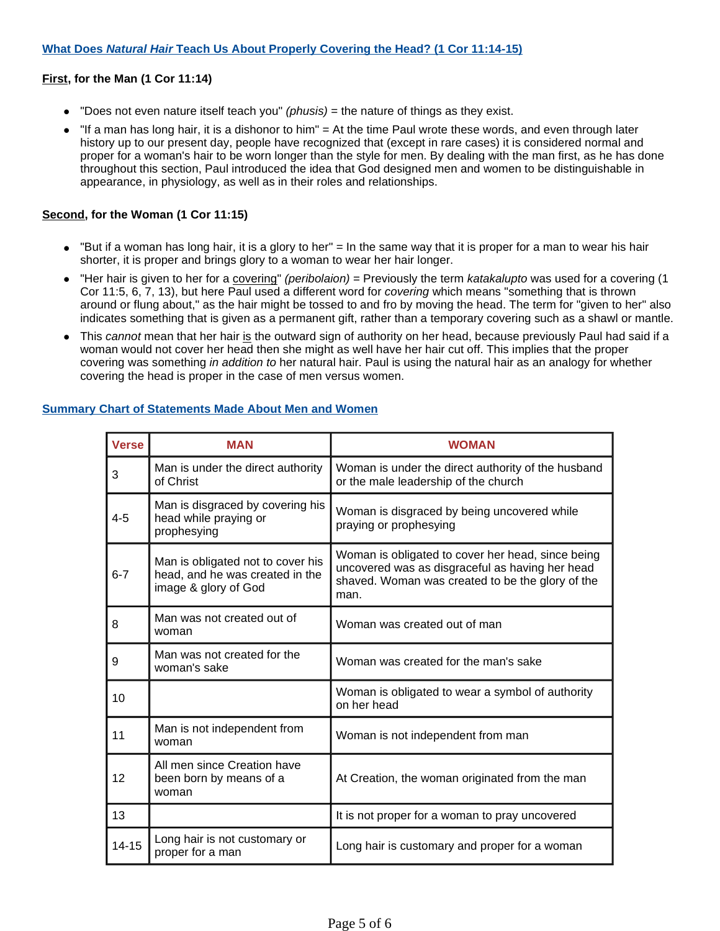#### **First, for the Man (1 Cor 11:14)**

- $\bullet$  "Does not even nature itself teach you" *(phusis)* = the nature of things as they exist.
- "If a man has long hair, it is a dishonor to him" = At the time Paul wrote these words, and even through later history up to our present day, people have recognized that (except in rare cases) it is considered normal and proper for a woman's hair to be worn longer than the style for men. By dealing with the man first, as he has done throughout this section, Paul introduced the idea that God designed men and women to be distinguishable in appearance, in physiology, as well as in their roles and relationships.

#### **Second, for the Woman (1 Cor 11:15)**

- "But if a woman has long hair, it is a glory to her" = In the same way that it is proper for a man to wear his hair shorter, it is proper and brings glory to a woman to wear her hair longer.
- "Her hair is given to her for a covering" (peribolaion) = Previously the term katakalupto was used for a covering (1 Cor 11:5, 6, 7, 13), but here Paul used a different word for covering which means "something that is thrown around or flung about," as the hair might be tossed to and fro by moving the head. The term for "given to her" also indicates something that is given as a permanent gift, rather than a temporary covering such as a shawl or mantle.
- This cannot mean that her hair is the outward sign of authority on her head, because previously Paul had said if a woman would not cover her head then she might as well have her hair cut off. This implies that the proper covering was something in addition to her natural hair. Paul is using the natural hair as an analogy for whether covering the head is proper in the case of men versus women.

| <b>Verse</b> | <b>MAN</b>                                                                                   | <b>WOMAN</b>                                                                                                                                                     |
|--------------|----------------------------------------------------------------------------------------------|------------------------------------------------------------------------------------------------------------------------------------------------------------------|
| 3            | Man is under the direct authority<br>of Christ                                               | Woman is under the direct authority of the husband<br>or the male leadership of the church                                                                       |
| $4 - 5$      | Man is disgraced by covering his<br>head while praying or<br>prophesying                     | Woman is disgraced by being uncovered while<br>praying or prophesying                                                                                            |
| $6 - 7$      | Man is obligated not to cover his<br>head, and he was created in the<br>image & glory of God | Woman is obligated to cover her head, since being<br>uncovered was as disgraceful as having her head<br>shaved. Woman was created to be the glory of the<br>man. |
| 8            | Man was not created out of<br>woman                                                          | Woman was created out of man                                                                                                                                     |
| 9            | Man was not created for the<br>woman's sake                                                  | Woman was created for the man's sake                                                                                                                             |
| 10           |                                                                                              | Woman is obligated to wear a symbol of authority<br>on her head                                                                                                  |
| 11           | Man is not independent from<br>woman                                                         | Woman is not independent from man                                                                                                                                |
| 12           | All men since Creation have<br>been born by means of a<br>woman                              | At Creation, the woman originated from the man                                                                                                                   |
| 13           |                                                                                              | It is not proper for a woman to pray uncovered                                                                                                                   |
| $14 - 15$    | Long hair is not customary or<br>proper for a man                                            | Long hair is customary and proper for a woman                                                                                                                    |

#### **Summary Chart of Statements Made About Men and Women**